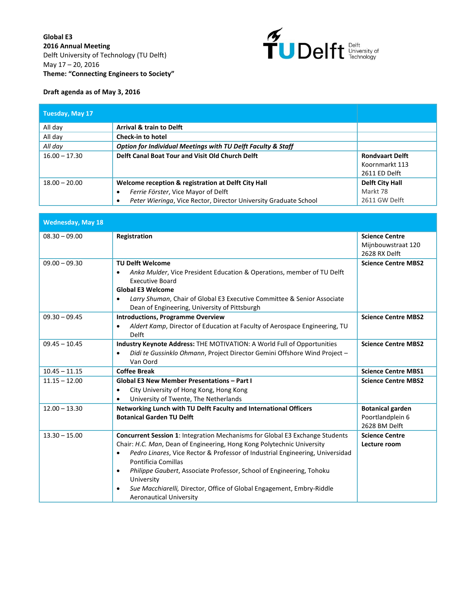

## **Draft agenda as of May 3, 2016**

| Tuesday, May 17 |                                                                                                                                                                |                                                           |
|-----------------|----------------------------------------------------------------------------------------------------------------------------------------------------------------|-----------------------------------------------------------|
| All day         | <b>Arrival &amp; train to Delft</b>                                                                                                                            |                                                           |
| All day         | <b>Check-in to hotel</b>                                                                                                                                       |                                                           |
| All day         | <b>Option for Individual Meetings with TU Delft Faculty &amp; Staff</b>                                                                                        |                                                           |
| $16.00 - 17.30$ | Delft Canal Boat Tour and Visit Old Church Delft                                                                                                               | <b>Rondvaart Delft</b><br>Koornmarkt 113<br>2611 ED Delft |
| $18.00 - 20.00$ | Welcome reception & registration at Delft City Hall<br>Ferrie Förster, Vice Mayor of Delft<br>Peter Wieringa, Vice Rector, Director University Graduate School | Delft City Hall<br>Markt 78<br>2611 GW Delft              |

| <b>Wednesday, May 18</b> |                                                                                                                                                                                                                                                                                                                                                                                                                                                                                   |                                                              |
|--------------------------|-----------------------------------------------------------------------------------------------------------------------------------------------------------------------------------------------------------------------------------------------------------------------------------------------------------------------------------------------------------------------------------------------------------------------------------------------------------------------------------|--------------------------------------------------------------|
| $08.30 - 09.00$          | Registration                                                                                                                                                                                                                                                                                                                                                                                                                                                                      | <b>Science Centre</b><br>Mijnbouwstraat 120<br>2628 RX Delft |
| $09.00 - 09.30$          | <b>TU Delft Welcome</b><br>Anka Mulder, Vice President Education & Operations, member of TU Delft<br>٠<br><b>Executive Board</b><br><b>Global E3 Welcome</b><br>Larry Shuman, Chair of Global E3 Executive Committee & Senior Associate<br>Dean of Engineering, University of Pittsburgh                                                                                                                                                                                          | <b>Science Centre MBS2</b>                                   |
| $09.30 - 09.45$          | <b>Introductions, Programme Overview</b><br>Aldert Kamp, Director of Education at Faculty of Aerospace Engineering, TU<br>$\bullet$<br>Delft                                                                                                                                                                                                                                                                                                                                      | <b>Science Centre MBS2</b>                                   |
| $09.45 - 10.45$          | Industry Keynote Address: THE MOTIVATION: A World Full of Opportunities<br>Didi te Gussinklo Ohmann, Project Director Gemini Offshore Wind Project -<br>Van Oord                                                                                                                                                                                                                                                                                                                  | <b>Science Centre MBS2</b>                                   |
| $10.45 - 11.15$          | <b>Coffee Break</b>                                                                                                                                                                                                                                                                                                                                                                                                                                                               | <b>Science Centre MBS1</b>                                   |
| $11.15 - 12.00$          | <b>Global E3 New Member Presentations - Part I</b><br>City University of Hong Kong, Hong Kong<br>$\bullet$<br>University of Twente, The Netherlands                                                                                                                                                                                                                                                                                                                               | <b>Science Centre MBS2</b>                                   |
| $12.00 - 13.30$          | Networking Lunch with TU Delft Faculty and International Officers<br><b>Botanical Garden TU Delft</b>                                                                                                                                                                                                                                                                                                                                                                             | <b>Botanical garden</b><br>Poortlandplein 6<br>2628 BM Delft |
| $13.30 - 15.00$          | <b>Concurrent Session 1: Integration Mechanisms for Global E3 Exchange Students</b><br>Chair: H.C. Man, Dean of Engineering, Hong Kong Polytechnic University<br>Pedro Linares, Vice Rector & Professor of Industrial Engineering, Universidad<br>٠<br>Pontificia Comillas<br>Philippe Gaubert, Associate Professor, School of Engineering, Tohoku<br>University<br>Sue Macchiarelli, Director, Office of Global Engagement, Embry-Riddle<br>$\bullet$<br>Aeronautical University | <b>Science Centre</b><br>Lecture room                        |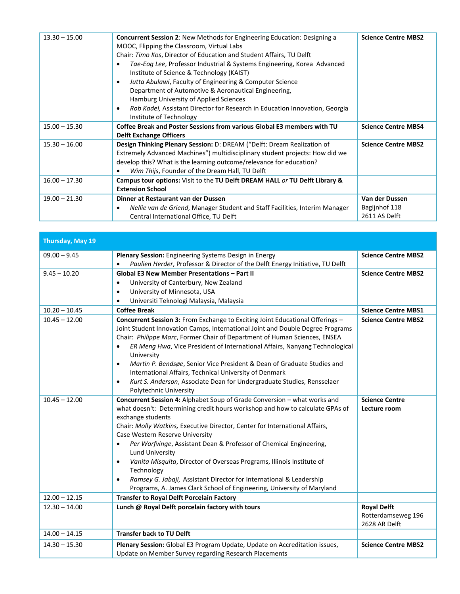| $13.30 - 15.00$ | <b>Concurrent Session 2: New Methods for Engineering Education: Designing a</b><br>MOOC, Flipping the Classroom, Virtual Labs<br>Chair: Timo Kos, Director of Education and Student Affairs, TU Delft<br>Tae-Eog Lee, Professor Industrial & Systems Engineering, Korea Advanced<br>Institute of Science & Technology (KAIST)<br>Jutta Abulawi, Faculty of Engineering & Computer Science<br>Department of Automotive & Aeronautical Engineering,<br>Hamburg University of Applied Sciences<br>Rob Kadel, Assistant Director for Research in Education Innovation, Georgia<br>Institute of Technology | <b>Science Centre MBS2</b>                       |
|-----------------|-------------------------------------------------------------------------------------------------------------------------------------------------------------------------------------------------------------------------------------------------------------------------------------------------------------------------------------------------------------------------------------------------------------------------------------------------------------------------------------------------------------------------------------------------------------------------------------------------------|--------------------------------------------------|
| $15.00 - 15.30$ | Coffee Break and Poster Sessions from various Global E3 members with TU<br><b>Delft Exchange Officers</b>                                                                                                                                                                                                                                                                                                                                                                                                                                                                                             | <b>Science Centre MBS4</b>                       |
| $15.30 - 16.00$ | Design Thinking Plenary Session: D: DREAM ("Delft: Dream Realization of<br>Extremely Advanced Machines") multidisciplinary student projects: How did we<br>develop this? What is the learning outcome/relevance for education?<br>Wim Thijs, Founder of the Dream Hall, TU Delft                                                                                                                                                                                                                                                                                                                      | <b>Science Centre MBS2</b>                       |
| $16.00 - 17.30$ | Campus tour options: Visit to the TU Delft DREAM HALL or TU Delft Library &<br><b>Extension School</b>                                                                                                                                                                                                                                                                                                                                                                                                                                                                                                |                                                  |
| $19.00 - 21.30$ | Dinner at Restaurant van der Dussen<br>Nellie van de Griend, Manager Student and Staff Facilities, Interim Manager<br>Central International Office, TU Delft                                                                                                                                                                                                                                                                                                                                                                                                                                          | Van der Dussen<br>Bagijnhof 118<br>2611 AS Delft |

| Thursday, May 19 |                                                                                                                                                                                                                                                                                                                                                                                                                                                                                                                                                                                                                                         |                                                           |
|------------------|-----------------------------------------------------------------------------------------------------------------------------------------------------------------------------------------------------------------------------------------------------------------------------------------------------------------------------------------------------------------------------------------------------------------------------------------------------------------------------------------------------------------------------------------------------------------------------------------------------------------------------------------|-----------------------------------------------------------|
| $09.00 - 9.45$   | <b>Plenary Session:</b> Engineering Systems Design in Energy<br>Paulien Herder, Professor & Director of the Delft Energy Initiative, TU Delft                                                                                                                                                                                                                                                                                                                                                                                                                                                                                           | <b>Science Centre MBS2</b>                                |
| $9.45 - 10.20$   | <b>Global E3 New Member Presentations - Part II</b><br>University of Canterbury, New Zealand<br>$\bullet$<br>University of Minnesota, USA<br>$\bullet$<br>Universiti Teknologi Malaysia, Malaysia                                                                                                                                                                                                                                                                                                                                                                                                                                       | <b>Science Centre MBS2</b>                                |
| $10.20 - 10.45$  | <b>Coffee Break</b>                                                                                                                                                                                                                                                                                                                                                                                                                                                                                                                                                                                                                     | <b>Science Centre MBS1</b>                                |
| $10.45 - 12.00$  | Concurrent Session 3: From Exchange to Exciting Joint Educational Offerings -<br>Joint Student Innovation Camps, International Joint and Double Degree Programs<br>Chair: Philippe Marc, Former Chair of Department of Human Sciences, ENSEA<br>ER Meng Hwa, Vice President of International Affairs, Nanyang Technological<br>University<br>Martin P. Bendsøe, Senior Vice President & Dean of Graduate Studies and<br>٠<br>International Affairs, Technical University of Denmark<br>Kurt S. Anderson, Associate Dean for Undergraduate Studies, Rensselaer<br>$\bullet$<br>Polytechnic University                                    | <b>Science Centre MBS2</b>                                |
| $10.45 - 12.00$  | Concurrent Session 4: Alphabet Soup of Grade Conversion - what works and<br>what doesn't: Determining credit hours workshop and how to calculate GPAs of<br>exchange students<br>Chair: Molly Watkins, Executive Director, Center for International Affairs,<br>Case Western Reserve University<br>Per Warfvinge, Assistant Dean & Professor of Chemical Engineering,<br><b>Lund University</b><br>Vanita Misquita, Director of Overseas Programs, Illinois Institute of<br>Technology<br>Ramsey G. Jabaji, Assistant Director for International & Leadership<br>Programs, A. James Clark School of Engineering, University of Maryland | <b>Science Centre</b><br>Lecture room                     |
| $12.00 - 12.15$  | <b>Transfer to Royal Delft Porcelain Factory</b>                                                                                                                                                                                                                                                                                                                                                                                                                                                                                                                                                                                        |                                                           |
| $12.30 - 14.00$  | Lunch @ Royal Delft porcelain factory with tours                                                                                                                                                                                                                                                                                                                                                                                                                                                                                                                                                                                        | <b>Royal Delft</b><br>Rotterdamseweg 196<br>2628 AR Delft |
| $14.00 - 14.15$  | <b>Transfer back to TU Delft</b>                                                                                                                                                                                                                                                                                                                                                                                                                                                                                                                                                                                                        |                                                           |
| $14.30 - 15.30$  | Plenary Session: Global E3 Program Update, Update on Accreditation issues,<br>Update on Member Survey regarding Research Placements                                                                                                                                                                                                                                                                                                                                                                                                                                                                                                     | <b>Science Centre MBS2</b>                                |